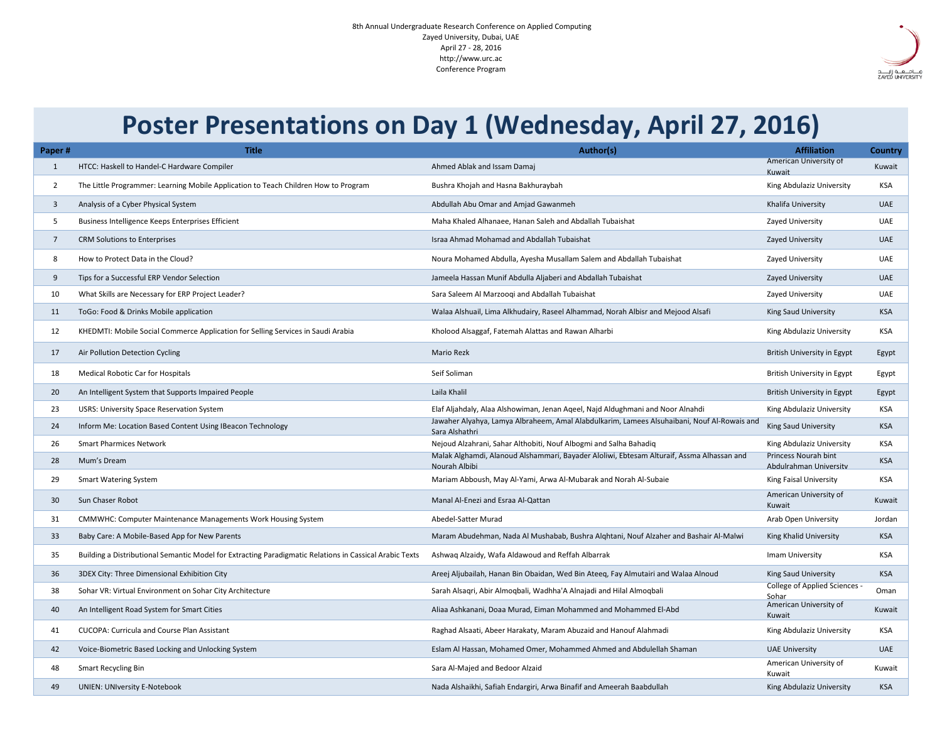| Paper#    | <b>Title</b>                                                                                            | Author(s)                                                                                                     | <b>Affiliation</b>                                    | <b>Country</b> |
|-----------|---------------------------------------------------------------------------------------------------------|---------------------------------------------------------------------------------------------------------------|-------------------------------------------------------|----------------|
|           | HTCC: Haskell to Handel-C Hardware Compiler                                                             | Ahmed Ablak and Issam Damaj                                                                                   | <b>American University of</b><br>Kuwait               | Kuwait         |
|           | The Little Programmer: Learning Mobile Application to Teach Children How to Program                     | Bushra Khojah and Hasna Bakhuraybah                                                                           | King Abdulaziz University                             | <b>KSA</b>     |
|           | Analysis of a Cyber Physical System                                                                     | Abdullah Abu Omar and Amjad Gawanmeh                                                                          | Khalifa University                                    | <b>UAE</b>     |
|           | Business Intelligence Keeps Enterprises Efficient                                                       | Maha Khaled Alhanaee, Hanan Saleh and Abdallah Tubaishat                                                      | Zayed University                                      | <b>UAE</b>     |
|           | <b>CRM Solutions to Enterprises</b>                                                                     | Israa Ahmad Mohamad and Abdallah Tubaishat                                                                    | <b>Zayed University</b>                               | <b>UAE</b>     |
|           | How to Protect Data in the Cloud?                                                                       | Noura Mohamed Abdulla, Ayesha Musallam Salem and Abdallah Tubaishat                                           | Zayed University                                      | <b>UAE</b>     |
|           | Tips for a Successful ERP Vendor Selection                                                              | Jameela Hassan Munif Abdulla Aljaberi and Abdallah Tubaishat                                                  | Zayed University                                      | <b>UAE</b>     |
| 10        | What Skills are Necessary for ERP Project Leader?                                                       | Sara Saleem Al Marzooqi and Abdallah Tubaishat                                                                | Zayed University                                      | <b>UAE</b>     |
| <u>11</u> | ToGo: Food & Drinks Mobile application                                                                  | Walaa Alshuail, Lima Alkhudairy, Raseel Alhammad, Norah Albisr and Mejood Alsafi                              | <b>King Saud University</b>                           | <b>KSA</b>     |
| 12        | KHEDMTI: Mobile Social Commerce Application for Selling Services in Saudi Arabia                        | Kholood Alsaggaf, Fatemah Alattas and Rawan Alharbi                                                           | King Abdulaziz University                             | <b>KSA</b>     |
| 17        | Air Pollution Detection Cycling                                                                         | <b>Mario Rezk</b>                                                                                             | British University in Egypt                           | Egypt          |
| 18        | <b>Medical Robotic Car for Hospitals</b>                                                                | Seif Soliman                                                                                                  | <b>British University in Egypt</b>                    | Egypt          |
| 20        | An Intelligent System that Supports Impaired People                                                     | Laila Khalil                                                                                                  | <b>British University in Egypt</b>                    | Egypt          |
| 23        | <b>USRS: University Space Reservation System</b>                                                        | Elaf Aljahdaly, Alaa Alshowiman, Jenan Aqeel, Najd Aldughmani and Noor Alnahdi                                | King Abdulaziz University                             | <b>KSA</b>     |
| 24        | Inform Me: Location Based Content Using IBeacon Technology                                              | Jawaher Alyahya, Lamya Albraheem, Amal Alabdulkarim, Lamees Alsuhaibani, Nouf Al-Rowais and<br>Sara Alshathri | <b>King Saud University</b>                           | <b>KSA</b>     |
| 26        | <b>Smart Pharmices Network</b>                                                                          | Nejoud Alzahrani, Sahar Althobiti, Nouf Albogmi and Salha Bahadiq                                             | King Abdulaziz University                             | <b>KSA</b>     |
| 28        | Mum's Dream                                                                                             | Malak Alghamdi, Alanoud Alshammari, Bayader Aloliwi, Ebtesam Alturaif, Assma Alhassan and<br>Nourah Albibi    | <b>Princess Nourah bint</b><br>Abdulrahman University | <b>KSA</b>     |
| 29        | <b>Smart Watering System</b>                                                                            | Mariam Abboush, May Al-Yami, Arwa Al-Mubarak and Norah Al-Subaie                                              | <b>King Faisal University</b>                         | <b>KSA</b>     |
| 30        | <b>Sun Chaser Robot</b>                                                                                 | Manal Al-Enezi and Esraa Al-Qattan                                                                            | American University of<br>Kuwait                      | Kuwait         |
| 31        | <b>CMMWHC: Computer Maintenance Managements Work Housing System</b>                                     | Abedel-Satter Murad                                                                                           | <b>Arab Open University</b>                           | Jordan         |
| 33        | Baby Care: A Mobile-Based App for New Parents                                                           | Maram Abudehman, Nada Al Mushabab, Bushra Alqhtani, Nouf Alzaher and Bashair Al-Malwi                         | <b>King Khalid University</b>                         | <b>KSA</b>     |
| 35        | Building a Distributional Semantic Model for Extracting Paradigmatic Relations in Cassical Arabic Texts | Ashwaq Alzaidy, Wafa Aldawoud and Reffah Albarrak                                                             | Imam University                                       | <b>KSA</b>     |
| 36        | 3DEX City: Three Dimensional Exhibition City                                                            | Areej Aljubailah, Hanan Bin Obaidan, Wed Bin Ateeq, Fay Almutairi and Walaa Alnoud                            | <b>King Saud University</b>                           | <b>KSA</b>     |
| 38        | Sohar VR: Virtual Environment on Sohar City Architecture                                                | Sarah Alsaqri, Abir Almoqbali, Wadhha'A Alnajadi and Hilal Almoqbali                                          | College of Applied Sciences -<br>Sohar                | Oman           |
| 40        | An Intelligent Road System for Smart Cities                                                             | Aliaa Ashkanani, Doaa Murad, Eiman Mohammed and Mohammed El-Abd                                               | American University of<br>Kuwait                      | Kuwait         |
| 41        | <b>CUCOPA: Curricula and Course Plan Assistant</b>                                                      | Raghad Alsaati, Abeer Harakaty, Maram Abuzaid and Hanouf Alahmadi                                             | King Abdulaziz University                             | <b>KSA</b>     |
| 42        | Voice-Biometric Based Locking and Unlocking System                                                      | Eslam Al Hassan, Mohamed Omer, Mohammed Ahmed and Abdulellah Shaman                                           | <b>UAE University</b>                                 | <b>UAE</b>     |
| 48        | <b>Smart Recycling Bin</b>                                                                              | Sara Al-Majed and Bedoor Alzaid                                                                               | American University of<br>Kuwait                      | Kuwait         |
| 49        | <b>UNIEN: UNIversity E-Notebook</b>                                                                     | Nada Alshaikhi, Safiah Endargiri, Arwa Binafif and Ameerah Baabdullah                                         | King Abdulaziz University                             | <b>KSA</b>     |



## **Poster Presentations on Day 1 (Wednesday, April 27, 2016)**